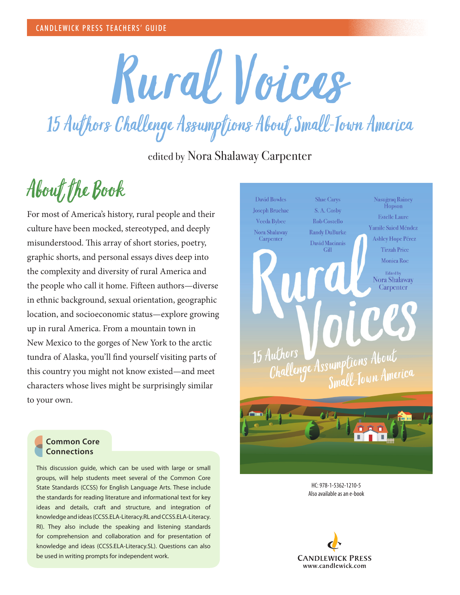

15 Authors Challenge Assumptions About Small-Town America

edited by Nora Shalaway Carpenter

## About the Book

For most of America's history, rural people and their culture have been mocked, stereotyped, and deeply misunderstood. This array of short stories, poetry, graphic shorts, and personal essays dives deep into the complexity and diversity of rural America and the people who call it home. Fifteen authors—diverse in ethnic background, sexual orientation, geographic location, and socioeconomic status—explore growing up in rural America. From a mountain town in New Mexico to the gorges of New York to the arctic tundra of Alaska, you'll find yourself visiting parts of this country you might not know existed—and meet characters whose lives might be surprisingly similar to your own.



HC: 978-1-5362-1210-5 Also available as an e-book



## **Common Core Connections**

This discussion guide, which can be used with large or small groups, will help students meet several of the Common Core State Standards (CCSS) for English Language Arts. These include the standards for reading literature and informational text for key ideas and details, craft and structure, and integration of knowledge and ideas (CCSS.ELA-Literacy.RL and CCSS.ELA-Literacy. RI). They also include the speaking and listening standards for comprehension and collaboration and for presentation of knowledge and ideas (CCSS.ELA-Literacy.SL). Questions can also be used in writing prompts for independent work.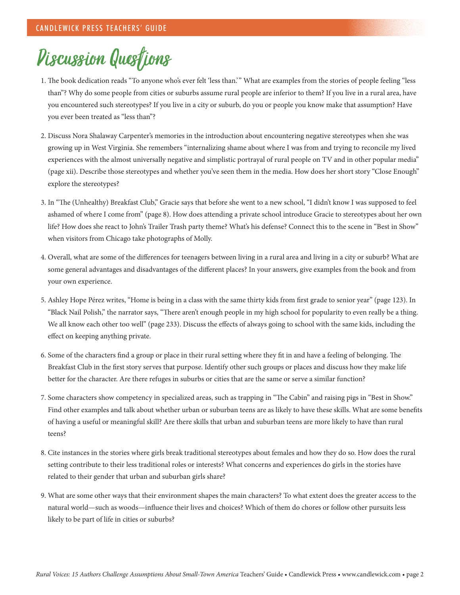## Discussion Questions

- 1. The book dedication reads "To anyone who's ever felt 'less than.'" What are examples from the stories of people feeling "less than"? Why do some people from cities or suburbs assume rural people are inferior to them? If you live in a rural area, have you encountered such stereotypes? If you live in a city or suburb, do you or people you know make that assumption? Have you ever been treated as "less than"?
- 2. Discuss Nora Shalaway Carpenter's memories in the introduction about encountering negative stereotypes when she was growing up in West Virginia. She remembers "internalizing shame about where I was from and trying to reconcile my lived experiences with the almost universally negative and simplistic portrayal of rural people on TV and in other popular media" (page xii). Describe those stereotypes and whether you've seen them in the media. How does her short story "Close Enough" explore the stereotypes?
- 3. In "The (Unhealthy) Breakfast Club," Gracie says that before she went to a new school, "I didn't know I was supposed to feel ashamed of where I come from" (page 8). How does attending a private school introduce Gracie to stereotypes about her own life? How does she react to John's Trailer Trash party theme? What's his defense? Connect this to the scene in "Best in Show" when visitors from Chicago take photographs of Molly.
- 4. Overall, what are some of the differences for teenagers between living in a rural area and living in a city or suburb? What are some general advantages and disadvantages of the different places? In your answers, give examples from the book and from your own experience.
- 5. Ashley Hope Pérez writes, "Home is being in a class with the same thirty kids from first grade to senior year" (page 123). In "Black Nail Polish," the narrator says, "There aren't enough people in my high school for popularity to even really be a thing. We all know each other too well" (page 233). Discuss the effects of always going to school with the same kids, including the effect on keeping anything private.
- 6. Some of the characters find a group or place in their rural setting where they fit in and have a feeling of belonging. The Breakfast Club in the first story serves that purpose. Identify other such groups or places and discuss how they make life better for the character. Are there refuges in suburbs or cities that are the same or serve a similar function?
- 7. Some characters show competency in specialized areas, such as trapping in "The Cabin" and raising pigs in "Best in Show." Find other examples and talk about whether urban or suburban teens are as likely to have these skills. What are some benefits of having a useful or meaningful skill? Are there skills that urban and suburban teens are more likely to have than rural teens?
- 8. Cite instances in the stories where girls break traditional stereotypes about females and how they do so. How does the rural setting contribute to their less traditional roles or interests? What concerns and experiences do girls in the stories have related to their gender that urban and suburban girls share?
- 9. What are some other ways that their environment shapes the main characters? To what extent does the greater access to the natural world—such as woods—influence their lives and choices? Which of them do chores or follow other pursuits less likely to be part of life in cities or suburbs?